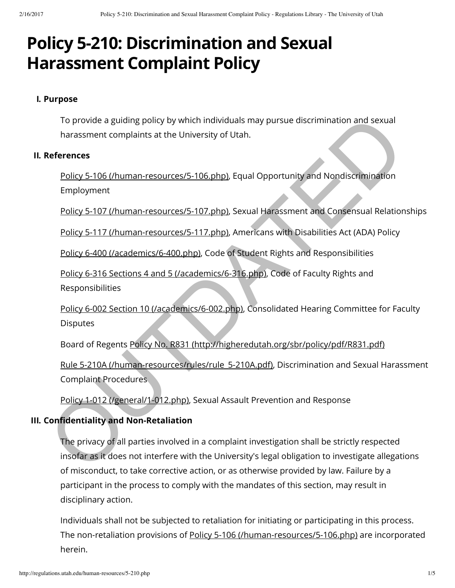# **Policy 5-210: Discrimination and Sexual Harassment Complaint Policy**

#### **I. Purpose**

To provide a guiding policy by which individuals may pursue discrimination and sexual harassment complaints at the University of Utah.

#### **II. References**

Policy 5-106 (/human-resources/5-106.php), Equal Opportunity and Nondiscrimination Employment

Policy 5-107 (/human-resources/5-107.php), Sexual Harassment and Consensual Relationships

Policy 5-117 (/human-resources/5-117.php), Americans with Disabilities Act (ADA) Policy

Policy 6-400 (/academics/6-400.php), Code of Student Rights and Responsibilities

Policy 6-316 Sections 4 and 5 (/academics/6-316.php), Code of Faculty Rights and Responsibilities

Policy 6-002 Section 10 (/academics/6-002.php), Consolidated Hearing Committee for Faculty **Disputes** 

Board of Regents Policy No. R831 (http://higheredutah.org/sbr/policy/pdf/R831.pdf)

Rule 5-210A (/human-resources/rules/rule\_5-210A.pdf), Discrimination and Sexual Harassment Complaint Procedures

Policy 1-012 (/general/1-012.php), Sexual Assault Prevention and Response

# **III. Confidentiality and Non-Retaliation**

The privacy of all parties involved in a complaint investigation shall be strictly respected insofar as it does not interfere with the University's legal obligation to investigate allegations of misconduct, to take corrective action, or as otherwise provided by law. Failure by a participant in the process to comply with the mandates of this section, may result in disciplinary action. To provide a guiding policy by which individuals may pursue discrimination and sexual<br>harassment complains at the [U](http://regulations.utah.edu/human-resources/rules/rule_5-210A.pdf)niversity of Utah.<br>**References**<br>Policy 5-105 (/human-resources/5-106,php). Equal [O](http://regulations.utah.edu/general/1-012.php)pportunity and Nondiscrim

Individuals shall not be subjected to retaliation for initiating or participating in this process. The non-retaliation provisions of [Policy 5-106 \(/human-resources/5-106.php\)](http://regulations.utah.edu/human-resources/5-106.php) are incorporated herein.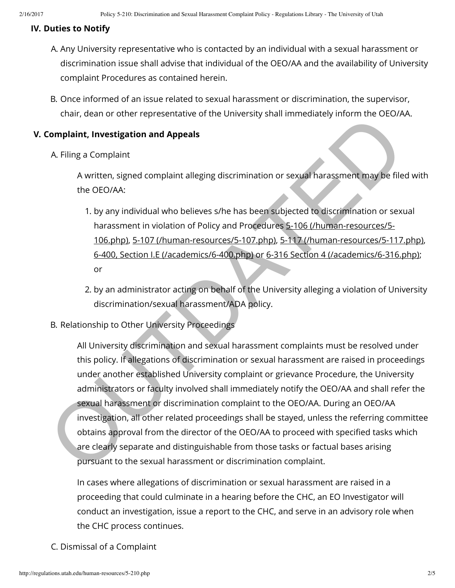## **IV. Duties to Notify**

- A. Any University representative who is contacted by an individual with a sexual harassment or discrimination issue shall advise that individual of the OEO/AA and the availability of University complaint Procedures as contained herein.
- B. Once informed of an issue related to sexual harassment or discrimination, the supervisor, chair, dean or other representative of the University shall immediately inform the OEO/AA.

## **V. Complaint, Investigation and Appeals**

A. Filing a Complaint

A written, signed complaint alleging discrimination or sexual harassment may be filed with the OEO/AA:

- 1. by any individual who believes s/he has been subjected to discrimination or sexual harassment in violation of Policy and Procedures 5-106 (/human-resources/5- 106.php), 5-107 (/human-resources/5-107.php), 5-117 (/human-resources/5-117.php), 6-400, Section I.E (/academics/6-400.php) or 6-316 Section 4 (/academics/6-316.php); or
- 2. by an administrator acting on behalf of the University alleging a violation of University discrimination/sexual harassment/ADA policy.
- B. Relationship to Other University Proceedings

All University discrimination and sexual harassment complaints must be resolved under this policy. If allegations of discrimination or sexual harassment are raised in proceedings under another established University complaint or grievance Procedure, the University administrators or faculty involved shall immediately notify the OEO/AA and shall refer the sexual harassment or discrimination complaint to the OEO/AA. During an OEO/AA investigation, all other related proceedings shall be stayed, unless the referring committee obtains approval from the director of the OEO/AA to proceed with specified tasks which are clearly separate and distinguishable from those tasks or factual bases arising pursuant to the sexual harassment or discrimination complaint. Complaint, Investigation and Appeals<br>
A. Filing a Complaint<br>
A. written, signed complaint alleging discrimination or sexual harassment may be filed<br>
the OEO/AA.<br>
1. by any individual who believes s/he has been subjected to

In cases where allegations of discrimination or sexual harassment are raised in a proceeding that could culminate in a hearing before the CHC, an EO Investigator will conduct an investigation, issue a report to the CHC, and serve in an advisory role when the CHC process continues.

C. Dismissal of a Complaint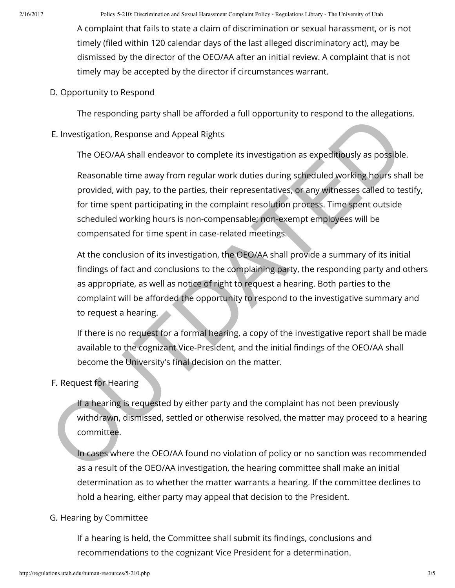A complaint that fails to state a claim of discrimination or sexual harassment, or is not timely (filed within 120 calendar days of the last alleged discriminatory act), may be dismissed by the director of the OEO/AA after an initial review. A complaint that is not timely may be accepted by the director if circumstances warrant.

D. Opportunity to Respond

The responding party shall be afforded a full opportunity to respond to the allegations.

E. Investigation, Response and Appeal Rights

The OEO/AA shall endeavor to complete its investigation as expeditiously as possible.

Reasonable time away from regular work duties during scheduled working hours shall be provided, with pay, to the parties, their representatives, or any witnesses called to testify, for time spent participating in the complaint resolution process. Time spent outside scheduled working hours is non-compensable; non-exempt employees will be compensated for time spent in case-related meetings. E. Investigation, Response and Appeal Rights<br>
The OEO/AA shall endeavor to complete its investigation as expeditiously as possible<br>
Reasonable time away from regular work duties during scheduled working hours sha<br>
provided

At the conclusion of its investigation, the OEO/AA shall provide a summary of its initial findings of fact and conclusions to the complaining party, the responding party and others as appropriate, as well as notice of right to request a hearing. Both parties to the complaint will be afforded the opportunity to respond to the investigative summary and to request a hearing.

If there is no request for a formal hearing, a copy of the investigative report shall be made available to the cognizant Vice-President, and the initial findings of the OEO/AA shall become the University's final decision on the matter.

F. Request for Hearing

If a hearing is requested by either party and the complaint has not been previously withdrawn, dismissed, settled or otherwise resolved, the matter may proceed to a hearing committee.

In cases where the OEO/AA found no violation of policy or no sanction was recommended as a result of the OEO/AA investigation, the hearing committee shall make an initial determination as to whether the matter warrants a hearing. If the committee declines to hold a hearing, either party may appeal that decision to the President.

# G. Hearing by Committee

If a hearing is held, the Committee shall submit its findings, conclusions and recommendations to the cognizant Vice President for a determination.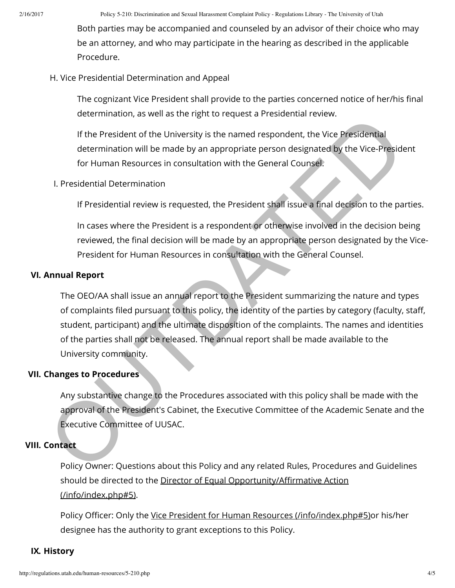2/16/2017 Policy 5-210: Discrimination and Sexual Harassment Complaint Policy - Regulations Library - The University of Utah

Both parties may be accompanied and counseled by an advisor of their choice who may be an attorney, and who may participate in the hearing as described in the applicable Procedure.

#### H. Vice Presidential Determination and Appeal

The cognizant Vice President shall provide to the parties concerned notice of her/his final determination, as well as the right to request a Presidential review.

If the President of the University is the named respondent, the Vice Presidential determination will be made by an appropriate person designated by the Vice-President for Human Resources in consultation with the General Counsel.

#### I. Presidential Determination

If Presidential review is requested, the President shall issue a final decision to the parties.

In cases where the President is a respondent or otherwise involved in the decision being reviewed, the final decision will be made by an appropriate person designated by the Vice-President for Human Resources in consultation with the General Counsel.

#### **VI. Annual Report**

The OEO/AA shall issue an annual report to the President summarizing the nature and types of complaints filed pursuant to this policy, the identity of the parties by category (faculty, staff, student, participant) and the ultimate disposition of the complaints. The names and identities of the parties shall not be released. The annual report shall be made available to the University community. determination, as well as unit give to request a resolution the Viewer Presidential<br>
If the President of the University is the named respondent, the Vice-Preside<br>
determination will be made by an appropriate person designa

# **VII. Changes to Procedures**

Any substantive change to the Procedures associated with this policy shall be made with the approval of the President's Cabinet, the Executive Committee of the Academic Senate and the Executive Committee of UUSAC.

# **VIII. Contact**

Policy Owner: Questions about this Policy and any related Rules, Procedures and Guidelines should be directed to the Director of Equal Opportunity/Affirmative Action (/info/index.php#5).

Policy Officer: Only the [Vice President for Human Resources \(/info/index.php#5\)o](http://regulations.utah.edu/info/index.php#5)r his/her designee has the authority to grant exceptions to this Policy.

# **IX. History**